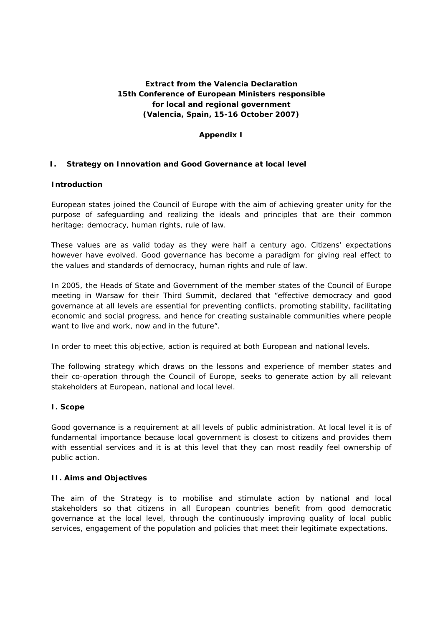# **Extract from the Valencia Declaration 15th Conference of European Ministers responsible for local and regional government (Valencia, Spain, 15-16 October 2007)**

## **Appendix I**

## **I. Strategy on Innovation and Good Governance at local level**

## **Introduction**

European states joined the Council of Europe with the aim of achieving greater unity for the purpose of safeguarding and realizing the ideals and principles that are their common heritage: democracy, human rights, rule of law.

These values are as valid today as they were half a century ago. Citizens' expectations however have evolved. Good governance has become a paradigm for giving real effect to the values and standards of democracy, human rights and rule of law.

In 2005, the Heads of State and Government of the member states of the Council of Europe meeting in Warsaw for their Third Summit, declared that "effective democracy and good governance at all levels are essential for preventing conflicts, promoting stability, facilitating economic and social progress, and hence for creating sustainable communities where people want to live and work, now and in the future".

In order to meet this objective, action is required at both European and national levels.

The following strategy which draws on the lessons and experience of member states and their co-operation through the Council of Europe, seeks to generate action by all relevant stakeholders at European, national and local level.

## **I. Scope**

Good governance is a requirement at all levels of public administration. At local level it is of fundamental importance because local government is closest to citizens and provides them with essential services and it is at this level that they can most readily feel ownership of public action.

## **II. Aims and Objectives**

The aim of the Strategy is to mobilise and stimulate action by national and local stakeholders so that citizens in all European countries benefit from good democratic governance at the local level, through the continuously improving quality of local public services, engagement of the population and policies that meet their legitimate expectations.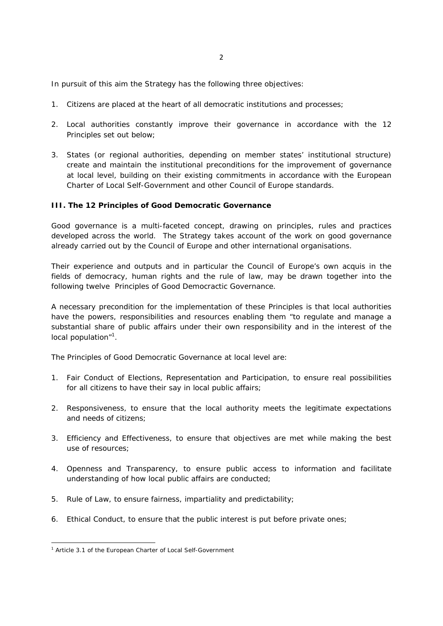In pursuit of this aim the Strategy has the following three objectives:

- 1. Citizens are placed at the heart of all democratic institutions and processes;
- 2. Local authorities constantly improve their governance in accordance with the 12 Principles set out below;
- 3. States (or regional authorities, depending on member states' institutional structure) create and maintain the institutional preconditions for the improvement of governance at local level, building on their existing commitments in accordance with the European Charter of Local Self-Government and other Council of Europe standards.

#### **III. The 12 Principles of Good Democratic Governance**

Good governance is a multi-faceted concept, drawing on principles, rules and practices developed across the world. The Strategy takes account of the work on good governance already carried out by the Council of Europe and other international organisations.

Their experience and outputs and in particular the Council of Europe's own *acquis* in the fields of democracy, human rights and the rule of law, may be drawn together into the following twelve Principles of Good Democractic Governance.

A necessary precondition for the implementation of these Principles is that local authorities have the powers, responsibilities and resources enabling them "to regulate and manage a substantial share of public affairs under their own responsibility and in the interest of the local population"<sup>1</sup>.

The Principles of Good Democratic Governance at local level are:

- 1. Fair Conduct of Elections, Representation and Participation, to ensure real possibilities for all citizens to have their say in local public affairs;
- 2. Responsiveness, to ensure that the local authority meets the legitimate expectations and needs of citizens;
- 3. Efficiency and Effectiveness, to ensure that objectives are met while making the best use of resources;
- 4. Openness and Transparency, to ensure public access to information and facilitate understanding of how local public affairs are conducted;
- 5. Rule of Law, to ensure fairness, impartiality and predictability;
- 6. Ethical Conduct, to ensure that the public interest is put before private ones;

<sup>&</sup>lt;sup>1</sup> Article 3.1 of the European Charter of Local Self-Government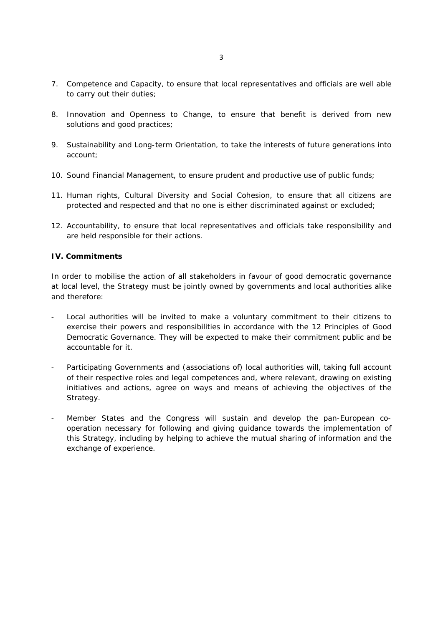- 7. Competence and Capacity, to ensure that local representatives and officials are well able to carry out their duties;
- 8. Innovation and Openness to Change, to ensure that benefit is derived from new solutions and good practices;
- 9. Sustainability and Long-term Orientation, to take the interests of future generations into account;
- 10. Sound Financial Management, to ensure prudent and productive use of public funds;
- 11. Human rights, Cultural Diversity and Social Cohesion, to ensure that all citizens are protected and respected and that no one is either discriminated against or excluded;
- 12. Accountability, to ensure that local representatives and officials take responsibility and are held responsible for their actions.

# **IV. Commitments**

In order to mobilise the action of all stakeholders in favour of good democratic governance at local level, the Strategy must be jointly owned by governments and local authorities alike and therefore:

- Local authorities will be invited to make a voluntary commitment to their citizens to exercise their powers and responsibilities in accordance with the 12 Principles of Good Democratic Governance. They will be expected to make their commitment public and be accountable for it.
- Participating Governments and (associations of) local authorities will, taking full account of their respective roles and legal competences and, where relevant, drawing on existing initiatives and actions, agree on ways and means of achieving the objectives of the Strategy.
- Member States and the Congress will sustain and develop the pan-European cooperation necessary for following and giving guidance towards the implementation of this Strategy, including by helping to achieve the mutual sharing of information and the exchange of experience.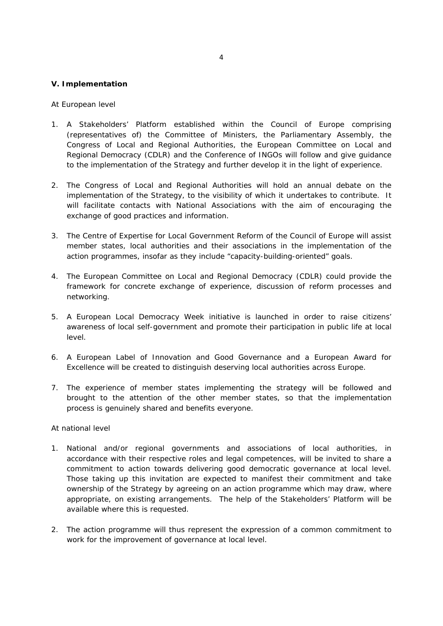### **V. Implementation**

#### *At European level*

- 1. A Stakeholders' Platform established within the Council of Europe comprising (representatives of) the Committee of Ministers, the Parliamentary Assembly, the Congress of Local and Regional Authorities, the European Committee on Local and Regional Democracy (CDLR) and the Conference of INGOs will follow and give guidance to the implementation of the Strategy and further develop it in the light of experience.
- 2. The Congress of Local and Regional Authorities will hold an annual debate on the implementation of the Strategy, to the visibility of which it undertakes to contribute. It will facilitate contacts with National Associations with the aim of encouraging the exchange of good practices and information.
- 3. The Centre of Expertise for Local Government Reform of the Council of Europe will assist member states, local authorities and their associations in the implementation of the action programmes, insofar as they include "capacity-building-oriented" goals.
- 4. The European Committee on Local and Regional Democracy (CDLR) could provide the framework for concrete exchange of experience, discussion of reform processes and networking.
- 5. A European Local Democracy Week initiative is launched in order to raise citizens' awareness of local self-government and promote their participation in public life at local level.
- 6. A European Label of Innovation and Good Governance and a European Award for Excellence will be created to distinguish deserving local authorities across Europe.
- 7. The experience of member states implementing the strategy will be followed and brought to the attention of the other member states, so that the implementation process is genuinely shared and benefits everyone.

### *At national level*

- 1. National and/or regional governments and associations of local authorities, in accordance with their respective roles and legal competences, will be invited to share a commitment to action towards delivering good democratic governance at local level. Those taking up this invitation are expected to manifest their commitment and take ownership of the Strategy by agreeing on an action programme which may draw, where appropriate, on existing arrangements. The help of the Stakeholders' Platform will be available where this is requested.
- 2. The action programme will thus represent the expression of a common commitment to work for the improvement of governance at local level.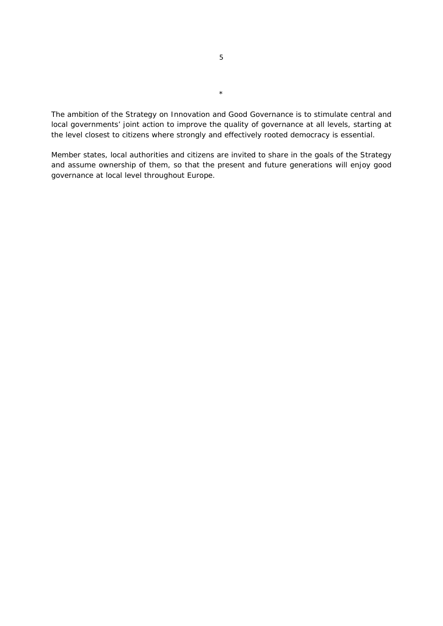The ambition of the Strategy on Innovation and Good Governance is to stimulate central and local governments' joint action to improve the quality of governance at all levels, starting at the level closest to citizens where strongly and effectively rooted democracy is essential.

Member states, local authorities and citizens are invited to share in the goals of the Strategy and assume ownership of them, so that the present and future generations will enjoy good governance at local level throughout Europe.

\*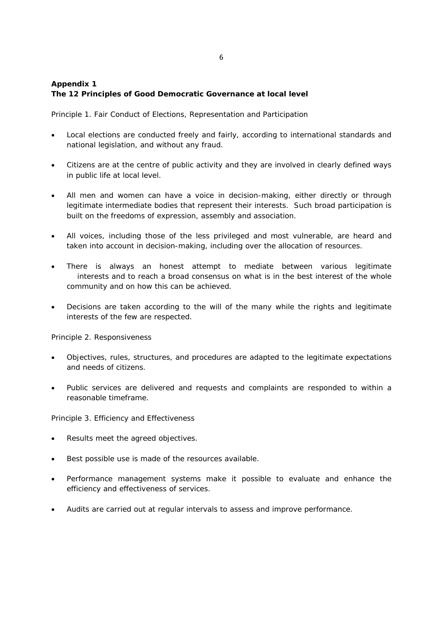# **Appendix 1 The 12 Principles of Good Democratic Governance at local level**

Principle 1. Fair Conduct of Elections, Representation and Participation

- Local elections are conducted freely and fairly, according to international standards and national legislation, and without any fraud.
- Citizens are at the centre of public activity and they are involved in clearly defined ways in public life at local level.
- All men and women can have a voice in decision-making, either directly or through legitimate intermediate bodies that represent their interests. Such broad participation is built on the freedoms of expression, assembly and association.
- All voices, including those of the less privileged and most vulnerable, are heard and taken into account in decision-making, including over the allocation of resources.
- There is always an honest attempt to mediate between various legitimate interests and to reach a broad consensus on what is in the best interest of the whole community and on how this can be achieved.
- Decisions are taken according to the will of the many while the rights and legitimate interests of the few are respected.

Principle 2. Responsiveness

- Objectives, rules, structures, and procedures are adapted to the legitimate expectations and needs of citizens.
- Public services are delivered and requests and complaints are responded to within a reasonable timeframe.

Principle 3. Efficiency and Effectiveness

- Results meet the agreed objectives.
- Best possible use is made of the resources available.
- Performance management systems make it possible to evaluate and enhance the efficiency and effectiveness of services.
- Audits are carried out at regular intervals to assess and improve performance.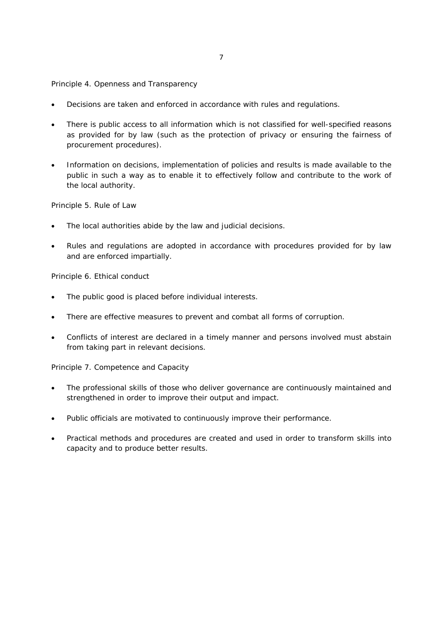# Principle 4. Openness and Transparency

- Decisions are taken and enforced in accordance with rules and regulations.
- There is public access to all information which is not classified for well-specified reasons as provided for by law (such as the protection of privacy or ensuring the fairness of procurement procedures).
- Information on decisions, implementation of policies and results is made available to the public in such a way as to enable it to effectively follow and contribute to the work of the local authority.

Principle 5. Rule of Law

- The local authorities abide by the law and judicial decisions.
- Rules and regulations are adopted in accordance with procedures provided for by law and are enforced impartially.

Principle 6. Ethical conduct

- The public good is placed before individual interests.
- There are effective measures to prevent and combat all forms of corruption.
- Conflicts of interest are declared in a timely manner and persons involved must abstain from taking part in relevant decisions.

Principle 7. Competence and Capacity

- The professional skills of those who deliver governance are continuously maintained and strengthened in order to improve their output and impact.
- Public officials are motivated to continuously improve their performance.
- Practical methods and procedures are created and used in order to transform skills into capacity and to produce better results.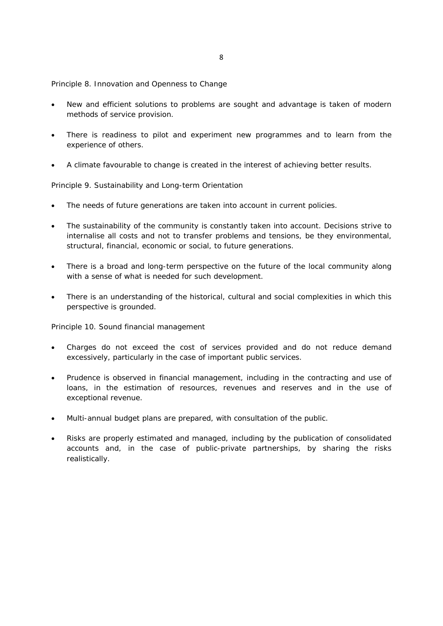Principle 8. Innovation and Openness to Change

- New and efficient solutions to problems are sought and advantage is taken of modern methods of service provision.
- There is readiness to pilot and experiment new programmes and to learn from the experience of others.
- A climate favourable to change is created in the interest of achieving better results.

Principle 9. Sustainability and Long-term Orientation

- The needs of future generations are taken into account in current policies.
- The sustainability of the community is constantly taken into account. Decisions strive to internalise all costs and not to transfer problems and tensions, be they environmental, structural, financial, economic or social, to future generations.
- There is a broad and long-term perspective on the future of the local community along with a sense of what is needed for such development.
- There is an understanding of the historical, cultural and social complexities in which this perspective is grounded.

Principle 10. Sound financial management

- Charges do not exceed the cost of services provided and do not reduce demand excessively, particularly in the case of important public services.
- Prudence is observed in financial management, including in the contracting and use of loans, in the estimation of resources, revenues and reserves and in the use of exceptional revenue.
- Multi-annual budget plans are prepared, with consultation of the public.
- Risks are properly estimated and managed, including by the publication of consolidated accounts and, in the case of public-private partnerships, by sharing the risks realistically.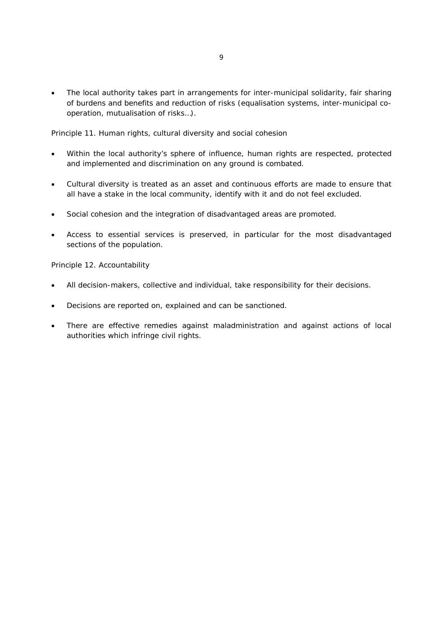The local authority takes part in arrangements for inter-municipal solidarity, fair sharing of burdens and benefits and reduction of risks (equalisation systems, inter-municipal cooperation, mutualisation of risks…).

Principle 11. Human rights, cultural diversity and social cohesion

- Within the local authority's sphere of influence, human rights are respected, protected and implemented and discrimination on any ground is combated.
- Cultural diversity is treated as an asset and continuous efforts are made to ensure that all have a stake in the local community, identify with it and do not feel excluded.
- Social cohesion and the integration of disadvantaged areas are promoted.
- Access to essential services is preserved, in particular for the most disadvantaged sections of the population.

Principle 12. Accountability

- All decision-makers, collective and individual, take responsibility for their decisions.
- Decisions are reported on, explained and can be sanctioned.
- There are effective remedies against maladministration and against actions of local authorities which infringe civil rights.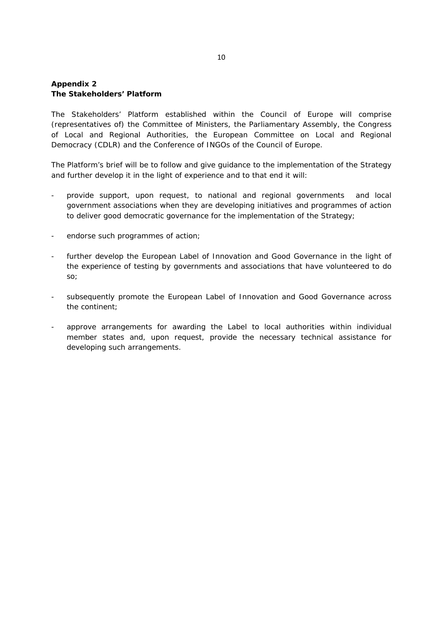## **Appendix 2 The Stakeholders' Platform**

The Stakeholders' Platform established within the Council of Europe will comprise (representatives of) the Committee of Ministers, the Parliamentary Assembly, the Congress of Local and Regional Authorities, the European Committee on Local and Regional Democracy (CDLR) and the Conference of INGOs of the Council of Europe.

The Platform's brief will be to follow and give guidance to the implementation of the Strategy and further develop it in the light of experience and to that end it will:

- provide support, upon request, to national and regional governments and local government associations when they are developing initiatives and programmes of action to deliver good democratic governance for the implementation of the Strategy;
- endorse such programmes of action;
- further develop the European Label of Innovation and Good Governance in the light of the experience of testing by governments and associations that have volunteered to do so;
- subsequently promote the European Label of Innovation and Good Governance across the continent;
- approve arrangements for awarding the Label to local authorities within individual member states and, upon request, provide the necessary technical assistance for developing such arrangements.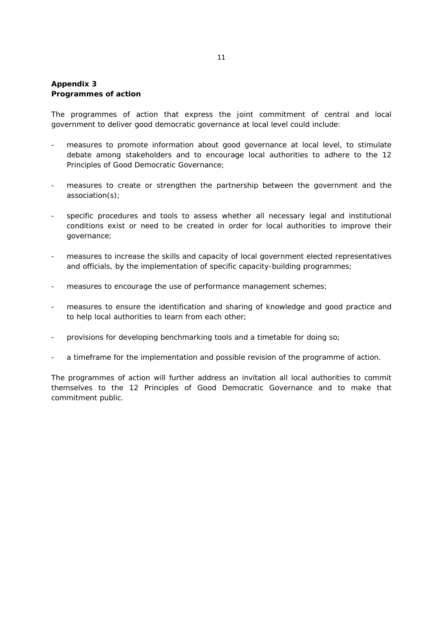## **Appendix 3 Programmes of action**

The programmes of action that express the joint commitment of central and local government to deliver good democratic governance at local level could include:

- measures to promote information about good governance at local level, to stimulate debate among stakeholders and to encourage local authorities to adhere to the 12 Principles of Good Democratic Governance;
- measures to create or strengthen the partnership between the government and the association(s);
- specific procedures and tools to assess whether all necessary legal and institutional conditions exist or need to be created in order for local authorities to improve their governance;
- measures to increase the skills and capacity of local government elected representatives and officials, by the implementation of specific capacity-building programmes;
- measures to encourage the use of performance management schemes;
- measures to ensure the identification and sharing of knowledge and good practice and to help local authorities to learn from each other;
- provisions for developing benchmarking tools and a timetable for doing so;
- a timeframe for the implementation and possible revision of the programme of action.

The programmes of action will further address an invitation all local authorities to commit themselves to the 12 Principles of Good Democratic Governance and to make that commitment public.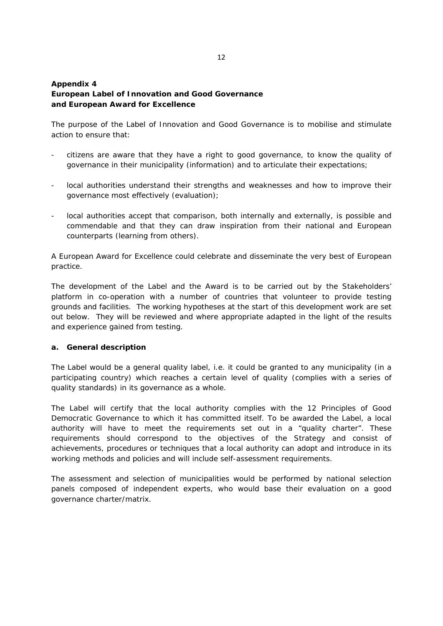# **Appendix 4 European Label of Innovation and Good Governance and European Award for Excellence**

The purpose of the Label of Innovation and Good Governance is to mobilise and stimulate action to ensure that:

- citizens are aware that they have a right to good governance, to know the quality of governance in their municipality (information) and to articulate their expectations;
- local authorities understand their strengths and weaknesses and how to improve their governance most effectively (evaluation);
- local authorities accept that comparison, both internally and externally, is possible and commendable and that they can draw inspiration from their national and European counterparts (learning from others).

A European Award for Excellence could celebrate and disseminate the very best of European practice.

The development of the Label and the Award is to be carried out by the Stakeholders' platform in co-operation with a number of countries that volunteer to provide testing grounds and facilities. The working hypotheses at the start of this development work are set out below. They will be reviewed and where appropriate adapted in the light of the results and experience gained from testing.

## **a. General description**

The Label would be a general quality label, i.e. it could be granted to any municipality (in a participating country) which reaches a certain level of quality (complies with a series of quality standards) in its governance as a whole.

The Label will certify that the local authority complies with the 12 Principles of Good Democratic Governance to which it has committed itself. To be awarded the Label, a local authority will have to meet the requirements set out in a "quality charter". These requirements should correspond to the objectives of the Strategy and consist of achievements, procedures or techniques that a local authority can adopt and introduce in its working methods and policies and will include self-assessment requirements.

The assessment and selection of municipalities would be performed by national selection panels composed of independent experts, who would base their evaluation on a good governance charter/matrix.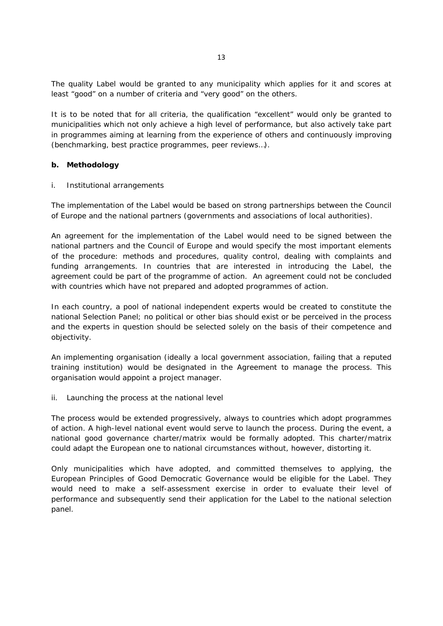The quality Label would be granted to any municipality which applies for it and scores at least "good" on a number of criteria and "very good" on the others.

It is to be noted that for all criteria, the qualification "excellent" would only be granted to municipalities which not only achieve a high level of performance, but also actively take part in programmes aiming at learning from the experience of others and continuously improving (benchmarking, best practice programmes, peer reviews…).

### **b. Methodology**

#### *i. Institutional arrangements*

The implementation of the Label would be based on strong partnerships between the Council of Europe and the national partners (governments and associations of local authorities).

An agreement for the implementation of the Label would need to be signed between the national partners and the Council of Europe and would specify the most important elements of the procedure: methods and procedures, quality control, dealing with complaints and funding arrangements. In countries that are interested in introducing the Label, the agreement could be part of the programme of action. An agreement could not be concluded with countries which have not prepared and adopted programmes of action.

In each country, a pool of national independent experts would be created to constitute the national Selection Panel; no political or other bias should exist or be perceived in the process and the experts in question should be selected solely on the basis of their competence and objectivity.

An implementing organisation (ideally a local government association, failing that a reputed training institution) would be designated in the Agreement to manage the process. This organisation would appoint a project manager.

#### *ii. Launching the process at the national level*

The process would be extended progressively, always to countries which adopt programmes of action. A high-level national event would serve to launch the process. During the event, a national good governance charter/matrix would be formally adopted. This charter/matrix could adapt the European one to national circumstances without, however, distorting it.

Only municipalities which have adopted, and committed themselves to applying, the European Principles of Good Democratic Governance would be eligible for the Label. They would need to make a self-assessment exercise in order to evaluate their level of performance and subsequently send their application for the Label to the national selection panel.